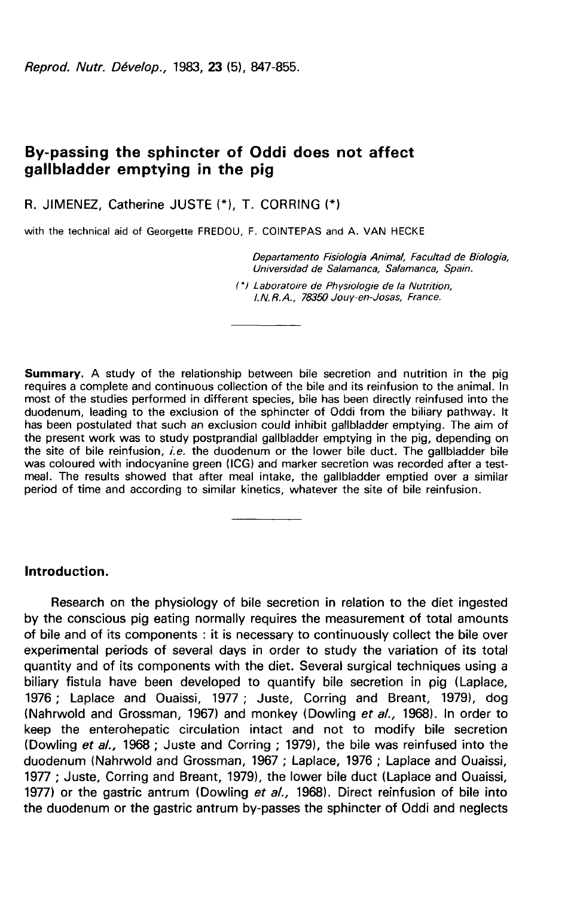Reprod. Nutr. Dévelop., 1983, 23 (5), 847-855.

# By-passing the sphincter of Oddi does not affect gallbladder emptying in the pig

R. JIMENEZ, Catherine JUSTE (\*), T. CORRING (\*)

with the technical aid of Georgette FREDOU, F. COINTEPAS and A. VAN HECKE

Departamento Fisiologia Animal, Facultad de Biologia, Universidad de Salamanca, Salamanca, Spain.

(\*) Laboratoire de Physiologie de la Nutrition, I.N.R.A., 78350 Jouy-en-Josas, France.

Summary. A study of the relationship between bile secretion and nutrition in the pig requires a complete and continuous collection of the bile and its reinfusion to the animal. In most of the studies performed in different species, bile has been directly reinfused into the duodenum, leading to the exclusion of the sphincter of Oddi from the biliary pathway. It has been postulated that such an exclusion could inhibit gallbladder emptying. The aim of the present work was to study postprandial gallbladder emptying in the pig, depending on the site of bile reinfusion, i.e. the duodenum or the lower bile duct. The gallbladder bile was coloured with indocyanine green (ICG) and marker secretion was recorded after a testmeal. The results showed that after meal intake, the gallbladder emptied over a similar period of time and according to similar kinetics, whatever the site of bile reinfusion.

# Introduction.

Research on the physiology of bile secretion in relation to the diet ingested by the conscious pig eating normally requires the measurement of total amounts of bile and of its components : it is necessary to continuously collect the bile over experimental periods of several days in order to study the variation of its total quantity and of its components with the diet. Several surgical techniques using a biliary fistula have been developed to quantify bile secretion in pig (Laplace, 1976 ; Laplace and Ouaissi, 1977 ; Juste, Corring and Breant, 1979), dog (Nahrwold and Grossman, 1967) and monkey (Dowling et al., 1968). In order to keep the enterohepatic circulation intact and not to modify bile secretion (Dowling et al., 1968 ; Juste and Corring ; 1979), the bile was reinfused into the duodenum (Nahrwold and Grossman, 1967 ; Laplace, 1976 ; Laplace and Ouaissi, 1977 ; Juste, Corring and Breant, 1979), the lower bile duct (Laplace and Ouaissi, 1977) or the gastric antrum (Dowling et al., 1968). Direct reinfusion of bile into the duodenum or the gastric antrum by-passes the sphincter of Oddi and neglects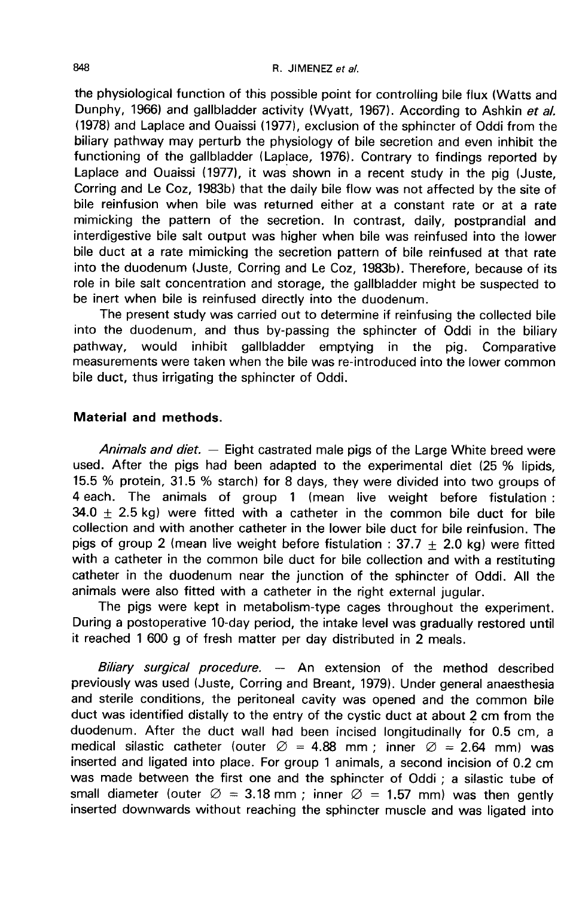the physiological function of this possible point for controlling bile flux (Watts and Dunphy, 1966) and gallbladder activity (Wyatt, 1967). According to Ashkin et al. (1978) and Laplace and Ouaissi (1977), exclusion of the sphincter of Oddi from the biliary pathway may perturb the physiology of bile secretion and even inhibit the functioning of the gallbladder (Laplace, 1976). Contrary to findings reported by Laplace and Ouaissi (1977), it was shown in a recent study in the pig (Juste, Corring and Le Coz, 1983b) that the daily bile flow was not affected by the site of bile reinfusion when bile was returned either at a constant rate or at a rate mimicking the pattern of the secretion. In contrast, daily, postprandial and interdigestive bile salt output was higher when bile was reinfused into the lower bile duct at a rate mimicking the secretion pattern of bile reinfused at that rate into the duodenum (Juste, Corring and Le Coz, 1983b). Therefore, because of its role in bile salt concentration and storage, the gallbladder might be suspected to be inert when bile is reinfused directly into the duodenum.

The present study was carried out to determine if reinfusing the collected bile into the duodenum, and thus by-passing the sphincter of Oddi in the biliary pathway, would inhibit gallbladder emptying in the pig. Comparative measurements were taken when the bile was re-introduced into the lower common bile duct, thus irrigating the sphincter of Oddi.

# Material and methods.

*Animals and diet.*  $-$  Eight castrated male pigs of the Large White breed were used. After the pigs had been adapted to the experimental diet (25 % lipids, 15.5 % protein, 31.5 % starch) for 8 days, they were divided into two groups of 4 each. The animals of group 1 (mean live weight before fistulation : 34.0  $\pm$  2.5 kg) were fitted with a catheter in the common bile duct for bile collection and with another catheter in the lower bile duct for bile reinfusion. The pigs of group 2 (mean live weight before fistulation : 37.7  $\pm$  2.0 kg) were fitted with a catheter in the common bile duct for bile collection and with a restituting catheter in the duodenum near the junction of the sphincter of Oddi. All the animals were also fitted with a catheter in the right external jugular.

The pigs were kept in metabolism-type cages throughout the experiment. During a postoperative 10-day period, the intake level was gradually restored until it reached 1 600 g of fresh matter per day distributed in 2 meals.

Biliary surgical procedure. - An extension of the method described previously was used (Juste, Corring and Breant, 1979). Under general anaesthesia and sterile conditions, the peritoneal cavity was opened and the common bile duct was identified distally to the entry of the cystic duct at about 2 cm from the duodenum. After the duct wall had been incised longitudinally for 0.5 cm, a medical silastic catheter (outer  $\varnothing = 4.88$  mm; inner  $\varnothing = 2.64$  mm) was inserted and ligated into place. For group 1 animals, a second incision of 0.2 cm was made between the first one and the sphincter of Oddi ; a silastic tube of small diameter (outer  $\varnothing = 3.18$  mm; inner  $\varnothing = 1.57$  mm) was then gently inserted downwards without reaching the sphincter muscle and was ligated into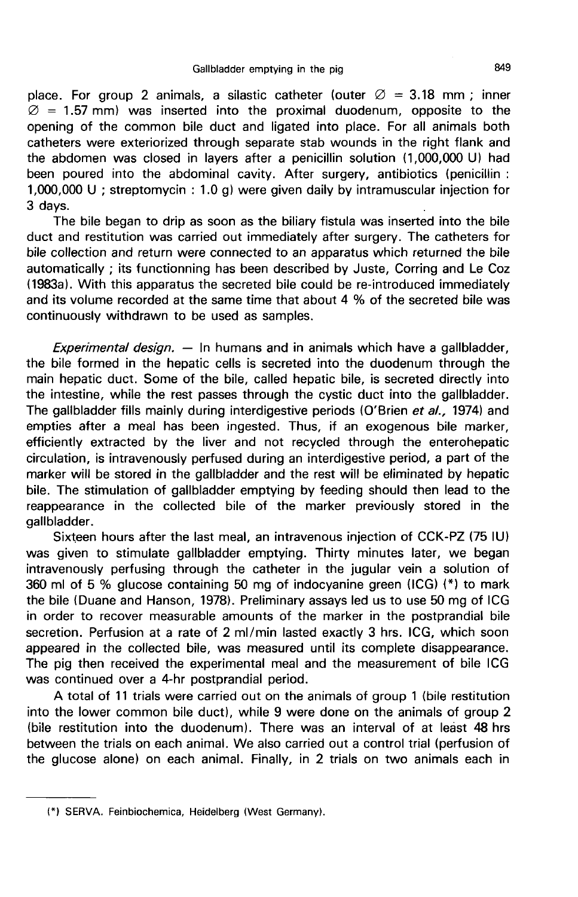place. For group 2 animals, a silastic catheter (outer  $\varnothing = 3.18$  mm ; inner  $\varnothing$  = 1.57 mm) was inserted into the proximal duodenum, opposite to the opening of the common bile duct and ligated into place. For all animals both catheters were exteriorized through separate stab wounds in the right flank and the abdomen was closed in layers after a penicillin solution (1,000,000 U) had been poured into the abdominal cavity. After surgery, antibiotics (penicillin : 1,000,000 U ; streptomycin : 1.0 g) were given daily by intramuscular injection for  $\omega$  = 1.57 mm) was inserted into the proximal duodentim, opposite to the<br>opening of the common bile duct and ligated into place. For all animals bot<br>catheters were exteriorized through separate stab wounds in the right f

The bile began to drip as soon as the biliary fistula was inserted into the bile duct and restitution was carried out immediately after surgery. The catheters for bile collection and return were connected to an apparatus which returned the bile automatically ; its functionning has been described by Juste, Corring and Le Coz (1983a1. With this apparatus the secreted bile could be re-introduced immediately and its volume recorded at the same time that about 4 % of the secreted bile was continuously withdrawn to be used as samples.

Experimental design.  $-$  In humans and in animals which have a gallbladder, the bile formed in the hepatic cells is secreted into the duodenum through the main hepatic duct. Some of the bile, called hepatic bile, is secreted directly into the intestine, while the rest passes through the cystic duct into the gallbladder. The gallbladder fills mainly during interdigestive periods (O'Brien et al., 1974) and empties after a meal has been ingested. Thus, if an exogenous bile marker, efficiently extracted by the liver and not recycled through the enterohepatic circulation, is intravenously perfused during an interdigestive period, a part of the marker will be stored in the gallbladder and the rest will be eliminated by hepatic bile. The stimulation of gallbladder emptying by feeding should then lead to the reappearance in the collected bile of the marker previously stored in the gallbladder.

Sixteen hours after the last meal, an intravenous injection of CCK-PZ (75 IU) was given to stimulate gallbladder emptying. Thirty minutes later, we began intravenously perfusing through the catheter in the jugular vein a solution of 360 ml of 5 % glucose containing 50 mg of indocyanine green (ICG) (\*) to mark the bile (Duane and Hanson, 1978). Preliminary assays led us to use 50 mg of ICG in order to recover measurable amounts of the marker in the postprandial bile secretion. Perfusion at a rate of 2 ml/min lasted exactly 3 hrs. ICG, which soon appeared in the collected bile, was measured until its complete disappearance. The pig then received the experimental meal and the measurement of bile ICG was continued over a 4-hr postprandial period.

A total of 11 trials were carried out on the animals of group 1 (bile restitution into the lower common bile duct), while 9 were done on the animals of group 2 (bile restitution into the duodenum). There was an interval of at least 48 hrs between the trials on each animal. We also carried out a control trial (perfusion of the glucose alone) on each animal. Finally, in 2 trials on two animals each in

<sup>(\*)</sup> SERVA. Feinbiochemica, Heidelberg (West Germany).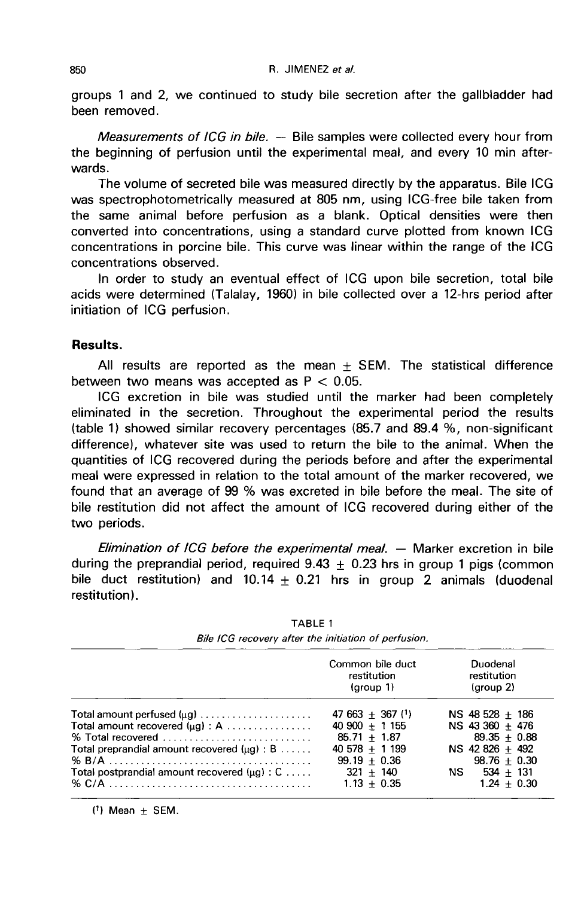groups 1 and 2, we continued to study bile secretion after the gallbladder had been removed.

*Measurements of ICG in bile.*  $-$  Bile samples were collected every hour from the beginning of perfusion until the experimental meal, and every 10 min afterwards.

The volume of secreted bile was measured directly by the apparatus. Bile ICG was spectrophotometrically measured at 805 nm, using ICG-free bile taken from the same animal before perfusion as a blank. Optical densities were then converted into concentrations, using a standard curve plotted from known ICG concentrations in porcine bile. This curve was linear within the range of the ICG concentrations observed.

In order to study an eventual effect of ICG upon bile secretion, total bile acids were determined (Talalay, 1960) in bile collected over a 12-hrs period after initiation of ICG perfusion.

### Results.

All results are reported as the mean  $\pm$  SEM. The statistical difference between two means was accepted as  $P < 0.05$ .

ICG excretion in bile was studied until the marker had been completely eliminated in the secretion. Throughout the experimental period the results (table 1) showed similar recovery percentages (85.7 and 89.4 %, non-significant difference), whatever site was used to return the bile to the animal. When the quantities of ICG recovered during the periods before and after the experimental meal were expressed in relation to the total amount of the marker recovered, we found that an average of 99 % was excreted in bile before the meal. The site of bile restitution did not affect the amount of ICG recovered during either of the two periods.

Elimination of ICG before the experimental meal. ― Marker excretion in bile during the preprandial period, required  $9.43 \pm 0.23$  hrs in group 1 pigs (common bile duct restitution) and 10.14  $\pm$  0.21 hrs in group 2 animals (duodenal restitution).

|                                                                             | Common bile duct<br>restitution<br>(group 1) | Duodenal<br>restitution<br>(group 2) |
|-----------------------------------------------------------------------------|----------------------------------------------|--------------------------------------|
|                                                                             | $47663 + 367$ (1)                            | NS 48 528 $+$ 186                    |
| Total amount recovered $(\mu g) : A$                                        | $40\,900 + 1\,155$                           | NS 43 360 + 476                      |
| % Total recovered $\ldots \ldots \ldots \ldots \ldots \ldots \ldots \ldots$ | $85.71 + 1.87$                               | $89.35 + 0.88$                       |
| Total preprandial amount recovered $(\mu q) : B \ldots$ .                   | $40578 + 1199$                               | NS 42 826 + 492                      |
|                                                                             | $99.19 + 0.36$                               | $98.76 + 0.30$                       |
| Total postprandial amount recovered $( \mu q ) : C \ldots$ .                | $321 + 140$                                  | $NS$ 534 + 131                       |
|                                                                             | $1.13 + 0.35$                                | $1.24 + 0.30$                        |

**TABLE 1** Bile ICG recovery after the initiation of perfusion.

 $(1)$  Mean  $\pm$  SEM.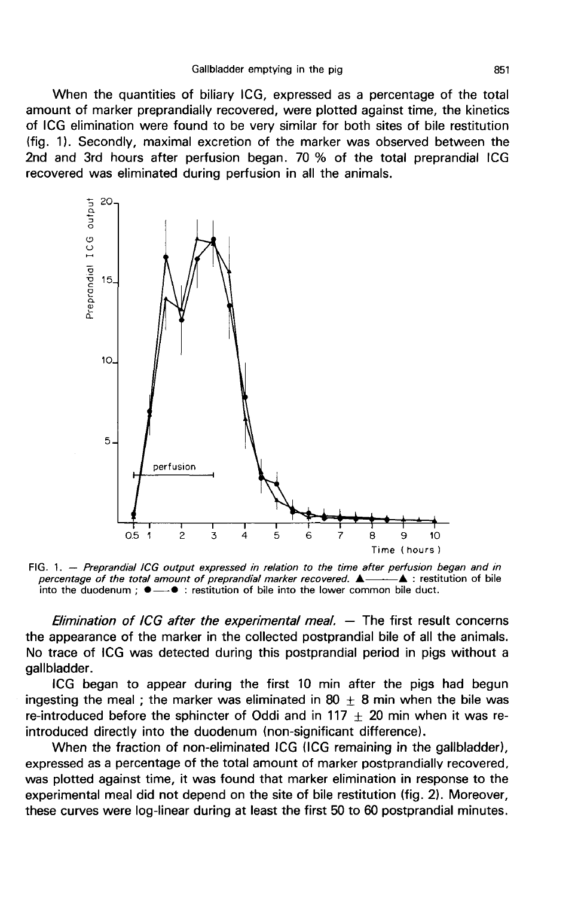When the quantities of biliary ICG, expressed as a percentage of the total amount of marker preprandially recovered, were plotted against time, the kinetics of ICG elimination were found to be very similar for both sites of bile restitution (fig. 1 ). Secondly, maximal excretion of the marker was observed between the 2nd and 3rd hours after perfusion began. 70 % of the total preprandial ICG recovered was eliminated during perfusion in all the animals.



FIG. 1. - Preprandial ICG output expressed in relation to the time after perfusion began and in  $-\triangle$  : restitution of bile percentage of the total amount of preprandial marker recovered.  $\triangle$ into the duodenum :  $\bullet \rightarrow \bullet$  : restitution of bile into the lower common bile duct.

Elimination of ICG after the experimental meal.  $-$  The first result concerns the appearance of the marker in the collected postprandial bile of all the animals. No trace of ICG was detected during this postprandial period in pigs without a gallbladder.

ICG began to appear during the first 10 min after the pigs had begun ingesting the meal ; the marker was eliminated in 80  $\pm$  8 min when the bile was re-introduced before the sphincter of Oddi and in 117  $\pm$  20 min when it was reintroduced directly into the duodenum (non-significant difference).

When the fraction of non-eliminated ICG (ICG remaining in the gallbladder), expressed as a percentage of the total amount of marker postprandially recovered, was plotted against time, it was found that marker elimination in response to the experimental meal did not depend on the site of bile restitution (fig. 2). Moreover, these curves were log-linear during at least the first 50 to 60 postprandial minutes.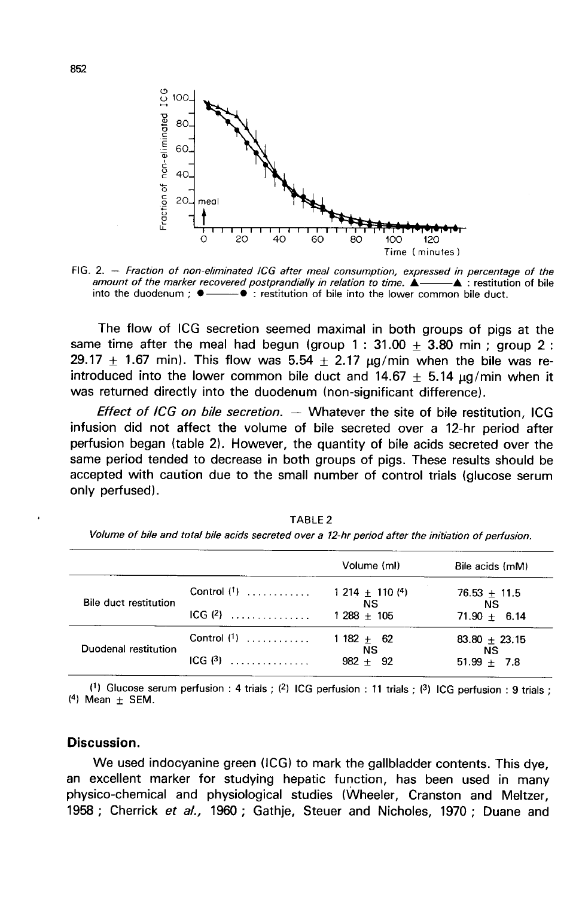

FIG. 2. - Fraction of non-eliminated ICG after meal consumption, expressed in percentage of the amount of the marker recovered postprandially in relation to time.  $\triangle$  $-\blacktriangle$  : restitution of bile into the duodenum:  $\bullet$  —  $-\bullet$  : restitution of bile into the lower common bile duct.

The flow of ICG secretion seemed maximal in both groups of pigs at the same time after the meal had begun (group  $1: 31.00 \pm 3.80$  min; group 2: 29.17  $\pm$  1.67 min). This flow was 5.54  $\pm$  2.17  $\mu$ g/min when the bile was reintroduced into the lower common bile duct and  $14.67 + 5.14$  ug/min when it was returned directly into the duodenum (non-significant difference).

*Effect of ICG on bile secretion.*  $-$  Whatever the site of bile restitution, ICG infusion did not affect the volume of bile secreted over a 12-hr period after perfusion began (table 2). However, the quantity of bile acids secreted over the same period tended to decrease in both groups of pigs. These results should be accepted with caution due to the small number of control trials (glucose serum only perfused).

|                                                   |                                  | Volume (ml)                 | Bile acids (mM)  |
|---------------------------------------------------|----------------------------------|-----------------------------|------------------|
| Bile duct restitution<br>$ICG$ (2)                | Control (1)  1 214 $\pm$ 110 (4) | NS.                         | $76.53 \pm 11.5$ |
|                                                   | $1288 + 105$                     | <b>NS</b><br>$71.90 + 6.14$ |                  |
| Control $(1)$<br>Duodenal restitution<br>$ICG(3)$ |                                  | 1 1 82 $\pm$ 62             | $83.80 + 23.15$  |
|                                                   | NS.<br>$982 + 92$                | <b>NS</b><br>$51.99 + 7.8$  |                  |

TABLE<sub>2</sub> Volume of bile and total bile acids secreted over a 12-hr period after the initiation of perfusion.

(1) Glucose serum perfusion : 4 trials ; (2) ICG perfusion : 11 trials ; (3) ICG perfusion : 9 trials ;  $(4)$  Mean  $\pm$  SEM.

#### Discussion.

We used indocyanine green (1CG) to mark the gallbladder contents. This dye, an excellent marker for studying hepatic function, has been used in many physico-chemical and physiological studies (Wheeler, Cranston and Meltzer, 1958 : Cherrick et al., 1960 ; Gathje, Steuer and Nicholes, 1970 ; Duane and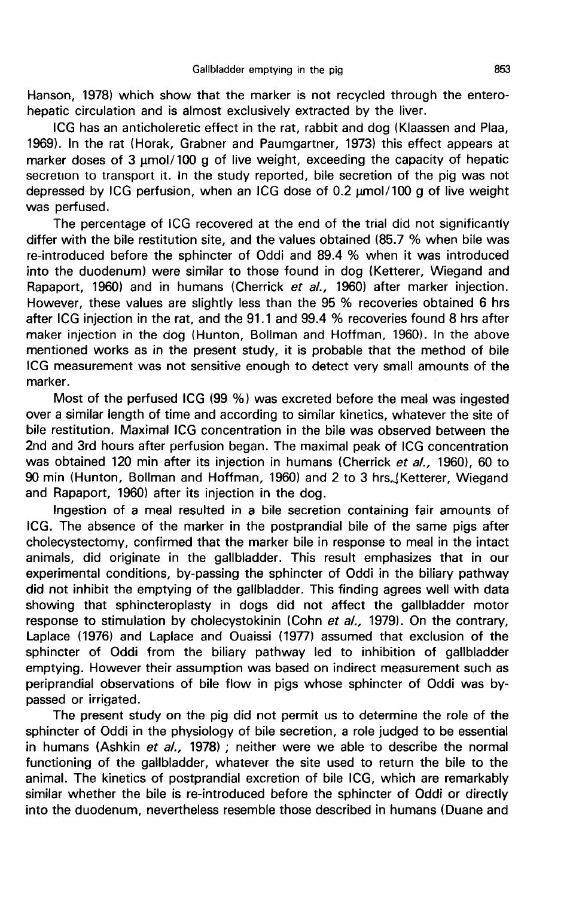Hanson, 1978) which show that the marker is not recycled through the enterohepatic circulation and is almost exclusively extracted by the liver.

ICG has an anticholeretic effect in the rat, rabbit and dog (Klaassen and Plaa, 1969). In the rat (Horak, Grabner and Paumgartner, 1973) this effect appears at marker doses of 3  $\mu$ mol/100 g of live weight, exceeding the capacity of hepatic secretion to transport it. In the study reported, bile secretion of the pig was not depressed by ICG perfusion, when an ICG dose of 0.2  $\mu$ mol/100 g of live weight ICG has an anticholeretic effect in the rat, rabbit and dog (Klaassen and Plaa, 1969). In the rat (Horak, Grabner and Paumgartner, 1973) this effect appears at marker doses of 3  $\mu$ mol/100 g of live weight, exceeding the

The percentage of ICG recovered at the end of the trial did not significantly differ with the bile restitution site, and the values obtained (85.7 % when bile was re-introduced before the sphincter of Oddi and 89.4 % when it was introduced into the duodenum) were similar to those found in dog (Ketterer, Wiegand and Rapaport, 1960) and in humans (Cherrick et al., 1960) after marker injection. However, these values are slightly less than the 95 % recoveries obtained 6 hrs after ICG injection in the rat, and the 91.1 and 99.4 % recoveries found 8 hrs after maker injection in the dog (Hunton, Bollman and Hoffman, 1960). In the above mentioned works as in the present study, it is probable that the method of bile ICG measurement was not sensitive enough to detect very small amounts of the marker.

Most of the perfused ICG (99 %) was excreted before the meal was ingested over a similar length of time and according to similar kinetics, whatever the site of bile restitution. Maximal ICG concentration in the bile was observed between the 2nd and 3rd hours after perfusion began. The maximal peak of ICG concentration was obtained 120 min after its injection in humans (Cherrick et al., 1960), 60 to 90 min (Hunton, Bollman and Hoffman, 1960) and 2 to 3 hrs. (Ketterer, Wiegand and Rapaport, 1960) after its injection in the dog.

Ingestion of a meal resulted in a bile secretion containing fair amounts of ICG. The absence of the marker in the postprandial bile of the same pigs after cholecystectomy, confirmed that the marker bile in response to meal in the intact animals, did originate in the gallbladder. This result emphasizes that in our experimental conditions, by-passing the sphincter of Oddi in the biliary pathway did not inhibit the emptying of the gallbladder. This finding agrees well with data showing that sphincteroplasty in dogs did not affect the gallbladder motor response to stimulation by cholecystokinin (Cohn et al., 1979). On the contrary, Laplace (1976) and Laplace and Ouaissi (1977) assumed that exclusion of the sphincter of Oddi from the biliary pathway led to inhibition of gallbladder emptying. However their assumption was based on indirect measurement such as periprandial observations of bile flow in pigs whose sphincter of Oddi was bypassed or irrigated.

The present study on the pig did not permit us to determine the role of the sphincter of Oddi in the physiology of bile secretion, a role judged to be essential in humans (Ashkin et  $al.,$  1978) ; neither were we able to describe the normal functioning of the gallbladder, whatever the site used to return the bile to the animal. The kinetics of postprandial excretion of bile ICG, which are remarkably similar whether the bile is re-introduced before the sphincter of Oddi or directly into the duodenum, nevertheless resemble those described in humans (Duane and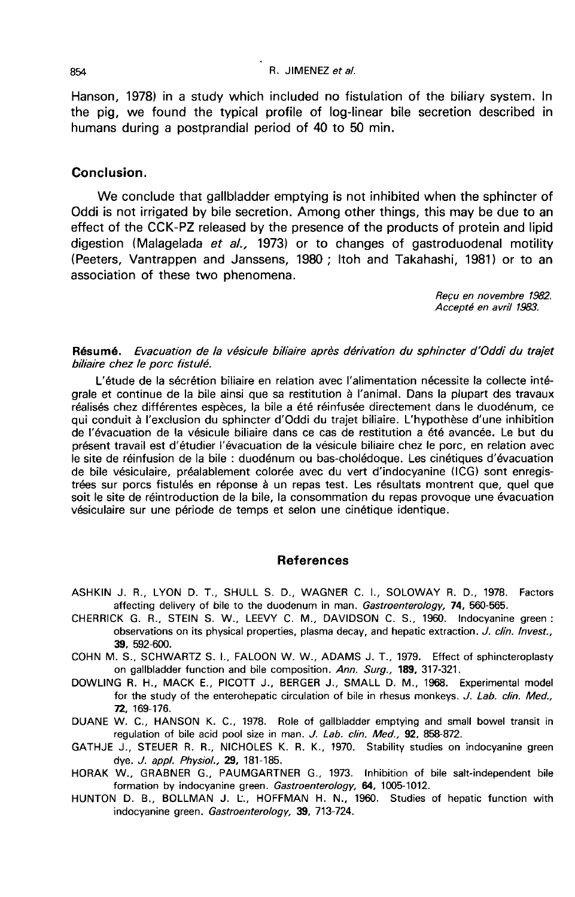#### R JIMENEZ et al.

Hanson, 1978) in a study which included no fistulation of the biliary system. In the pig, we found the typical profile of log-linear bile secretion described in humans during a postprandial period of 40 to 50 min.

# Conclusion.

We conclude that gallbladder emptying is not inhibited when the sphincter of Oddi is not irrigated by bile secretion. Among other things, this may be due to an effect of the CCK-PZ released by the presence of the products of protein and lipid digestion (Malagelada et al., 1973) or to changes of gastroduodenal motility (Peeters, Vantrappen and Janssens, 1980 ; Itoh and Takahashi, 1981) or to an association of these two phenomena.

> Reçu en novembre 1982. Accept6 en avril 1983.

#### Résumé. Evacuation de la vésicule biliaire après dérivation du sphincter d'Oddi du trajet biliaire chez le porc fistulé.

L'étude de la sécrétion biliaire en relation avec l'alimentation nécessite la collecte intégrale et continue de la bile ainsi que sa restitution à l'animal. Dans la plupart des travaux réalisés chez différentes espèces, la bile a été réinfusée directement dans le duodénum, ce qui conduit à l'exclusion du sphincter d'Oddi du trajet biliaire. L'hypothèse d'une inhibition de l'évacuation de la vésicule biliaire dans ce cas de restitution a été avancée. Le but du présent travail est d'étudier l'évacuation de la vésicule biliaire chez le porc, en relation avec le site de réinfusion de la bile : duodénum ou bas-cholédoque. Les cinétiques d'évacuation de bile vésiculaire, préalablement colorée avec du vert d'indocyanine (ICG) sont enregistrées sur porcs fistulés en réponse à un repas test. Les résultats montrent que, quel que soit le site de réintroduction de la bile, la consommation du repas provoque une évacuation vésiculaire sur une période de temps et selon une cinétique identique.

#### References

- ASHKIN J. R., LYON D. T., SHULL S. D., WAGNER C. I., SOLOWAY R. D., 1978. Factors affecting delivery of bile to the duodenum in man. Gastroenterology, 74, 560-565.
- CHERRICK G. R., STEIN S. W., LEEVY C. M., DAVIDSON C. S., 1960. Indocyanine green : observations on its physical properties, plasma decay, and hepatic extraction. J. clin. Invest., 39, 592-600.
- COHN M. S., SCHWARTZ S. L, FALOON W. W., ADAMS J. T., 1979. Effect of sphincteroplasty on gallbladder function and bile composition. Ann. Surg., 189, 317-321.
- DOWLING R. H., MACK E., PICOTT J., BERGER J., SMALL D. M., 1968. Experimental model for the study of the enterohepatic circulation of bile in rhesus monkeys. J. Lab. clin. Med., 72, 169-176.
- DUANE W. C., HANSON K. C., 1978. Role of gallbladder emptying and small bowel transit in regulation of bile acid pool size in man. J. Lab. clin. Med., 92, 858-872.
- GATHJE J., STEUER R. R., NICHOLES K. R. K., 1970. Stability studies on indocyanine green dye. J. appl. Physiol., 29, 181-185.
- HORAK W., GRABNER G., PAUMGARTNER G., 1973. Inhibition of bile salt-independent bile formation by indocyanine green. Gastroenterology, 64, 1005-1012.
- HUNTON D. B., BOLLMAN J. L., HOFFMAN H. N., 1960. Studies of hepatic function with indocyanine green. Gastroenterology, 39, 713-724.